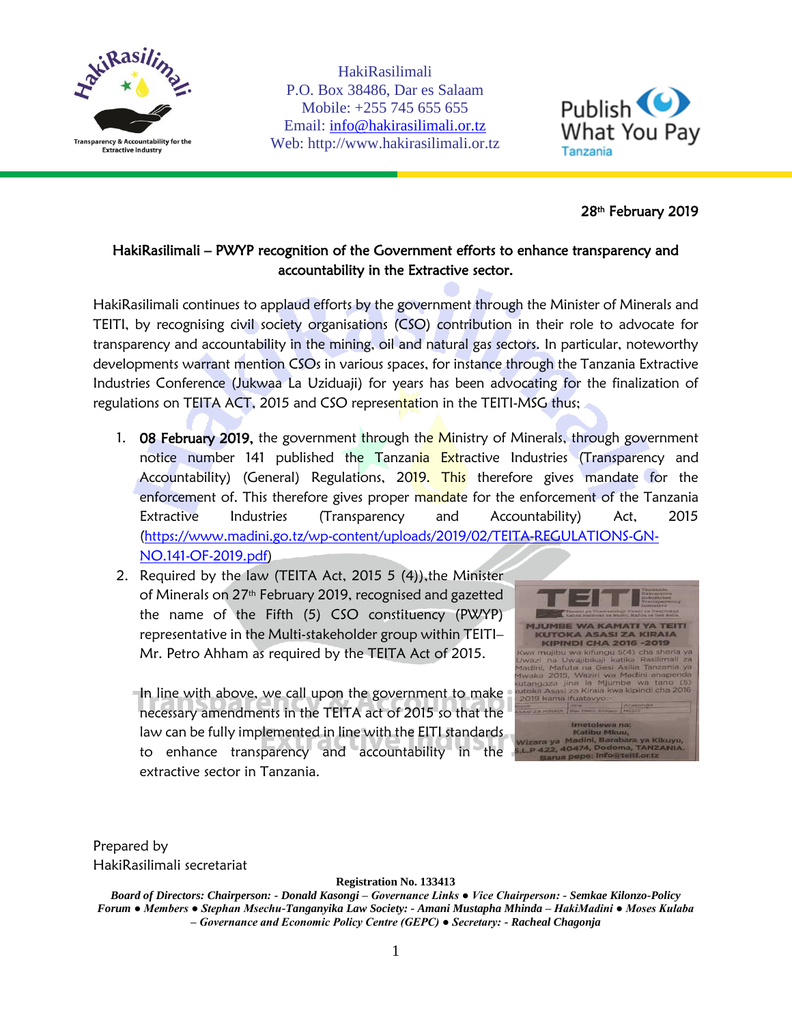

HakiRasilimali P.O. Box 38486, Dar es Salaam Mobile: +255 745 655 655 Email: [info@hakirasilimali.or.tz](mailto:info@hakirasilimali.or.tz) Web: http://www.hakirasilimali.or.tz



## 28th February 2019

## HakiRasilimali – PWYP recognition of the Government efforts to enhance transparency and accountability in the Extractive sector.

HakiRasilimali continues to applaud efforts by the government through the Minister of Minerals and TEITI, by recognising civil society organisations (CSO) contribution in their role to advocate for transparency and accountability in the mining, oil and natural gas sectors. In particular, noteworthy developments warrant mention CSOs in various spaces, for instance through the Tanzania Extractive Industries Conference (Jukwaa La Uziduaji) for years has been advocating for the finalization of regulations on TEITA ACT, 2015 and CSO representation in the TEITI-MSG thus;

- 1. **08 February 2019,** the government through the Ministry of Minerals, through government notice number 141 published the Tanzania Extractive Industries (Transparency and Accountability) (General) Regulations, 2019. This therefore gives mandate for the enforcement of. This therefore gives proper mandate for the enforcement of the Tanzania Extractive Industries (Transparency and Accountability) Act, 2015 [\(https://www.madini.go.tz/wp-content/uploads/2019/02/TEITA-REGULATIONS-GN-](https://www.madini.go.tz/wp-content/uploads/2019/02/TEITA-REGULATIONS-GN-NO.141-OF-2019.pdf)[NO.141-OF-2019.pdf\)](https://www.madini.go.tz/wp-content/uploads/2019/02/TEITA-REGULATIONS-GN-NO.141-OF-2019.pdf)
- 2. Required by the law (TEITA Act, 2015 5 (4)),the Minister of Minerals on 27th February 2019, recognised and gazetted the name of the Fifth (5) CSO constituency (PWYP) representative in the Multi-stakeholder group within TEITI– Mr. Petro Ahham as required by the TEITA Act of 2015.

In line with above, we call upon the government to make necessary amendments in the TEITA act of 2015 so that the law can be fully implemented in line with the EITI standards to enhance transparency and accountability in the extractive sector in Tanzania.



Prepared by HakiRasilimali secretariat

**Registration No. 133413**

*Board of Directors: Chairperson: - Donald Kasongi – Governance Links ● Vice Chairperson: - Semkae Kilonzo-Policy Forum ● Members ● Stephan Msechu-Tanganyika Law Society: - Amani Mustapha Mhinda – HakiMadini ● Moses Kulaba – Governance and Economic Policy Centre (GEPC) ● Secretary: - Racheal Chagonja*